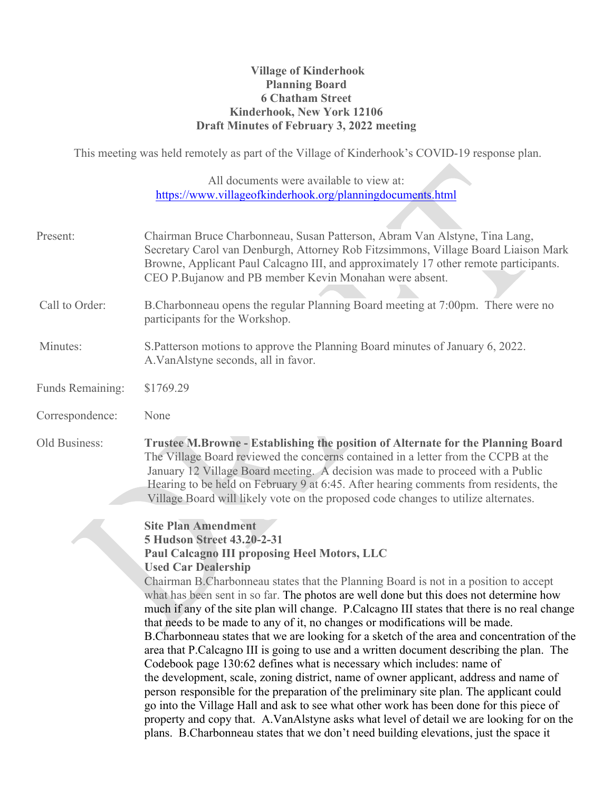## **Village of Kinderhook Planning Board 6 Chatham Street Kinderhook, New York 12106 Draft Minutes of February 3, 2022 meeting**

This meeting was held remotely as part of the Village of Kinderhook's COVID-19 response plan.

All documents were available to view at: https://www.villageofkinderhook.org/planningdocuments.html

| Present:         | Chairman Bruce Charbonneau, Susan Patterson, Abram Van Alstyne, Tina Lang,<br>Secretary Carol van Denburgh, Attorney Rob Fitzsimmons, Village Board Liaison Mark<br>Browne, Applicant Paul Calcagno III, and approximately 17 other remote participants.<br>CEO P.Bujanow and PB member Kevin Monahan were absent.                                                                                                                                                                                                                                                                                                                                                                                                                                                                                                                                                                                                                                                                                                                                                                                                                                                                                                                                                   |
|------------------|----------------------------------------------------------------------------------------------------------------------------------------------------------------------------------------------------------------------------------------------------------------------------------------------------------------------------------------------------------------------------------------------------------------------------------------------------------------------------------------------------------------------------------------------------------------------------------------------------------------------------------------------------------------------------------------------------------------------------------------------------------------------------------------------------------------------------------------------------------------------------------------------------------------------------------------------------------------------------------------------------------------------------------------------------------------------------------------------------------------------------------------------------------------------------------------------------------------------------------------------------------------------|
| Call to Order:   | B.Charbonneau opens the regular Planning Board meeting at 7:00pm. There were no<br>participants for the Workshop.                                                                                                                                                                                                                                                                                                                                                                                                                                                                                                                                                                                                                                                                                                                                                                                                                                                                                                                                                                                                                                                                                                                                                    |
| Minutes:         | S. Patterson motions to approve the Planning Board minutes of January 6, 2022.<br>A. VanAlstyne seconds, all in favor.                                                                                                                                                                                                                                                                                                                                                                                                                                                                                                                                                                                                                                                                                                                                                                                                                                                                                                                                                                                                                                                                                                                                               |
| Funds Remaining: | \$1769.29                                                                                                                                                                                                                                                                                                                                                                                                                                                                                                                                                                                                                                                                                                                                                                                                                                                                                                                                                                                                                                                                                                                                                                                                                                                            |
| Correspondence:  | None                                                                                                                                                                                                                                                                                                                                                                                                                                                                                                                                                                                                                                                                                                                                                                                                                                                                                                                                                                                                                                                                                                                                                                                                                                                                 |
| Old Business:    | Trustee M.Browne - Establishing the position of Alternate for the Planning Board<br>The Village Board reviewed the concerns contained in a letter from the CCPB at the<br>January 12 Village Board meeting. A decision was made to proceed with a Public<br>Hearing to be held on February 9 at 6:45. After hearing comments from residents, the<br>Village Board will likely vote on the proposed code changes to utilize alternates.                                                                                                                                                                                                                                                                                                                                                                                                                                                                                                                                                                                                                                                                                                                                                                                                                               |
|                  | <b>Site Plan Amendment</b><br><b>5 Hudson Street 43.20-2-31</b><br><b>Paul Calcagno III proposing Heel Motors, LLC</b><br><b>Used Car Dealership</b><br>Chairman B. Charbonneau states that the Planning Board is not in a position to accept<br>what has been sent in so far. The photos are well done but this does not determine how<br>much if any of the site plan will change. P. Calcagno III states that there is no real change<br>that needs to be made to any of it, no changes or modifications will be made.<br>B. Charbonneau states that we are looking for a sketch of the area and concentration of the<br>area that P. Calcagno III is going to use and a written document describing the plan. The<br>Codebook page 130:62 defines what is necessary which includes: name of<br>the development, scale, zoning district, name of owner applicant, address and name of<br>person responsible for the preparation of the preliminary site plan. The applicant could<br>go into the Village Hall and ask to see what other work has been done for this piece of<br>property and copy that. A.VanAlstyne asks what level of detail we are looking for on the<br>plans. B.Charbonneau states that we don't need building elevations, just the space it |